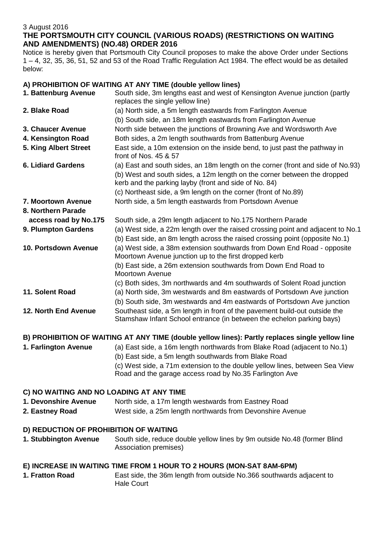## 3 August 2016 **THE PORTSMOUTH CITY COUNCIL (VARIOUS ROADS) (RESTRICTIONS ON WAITING AND AMENDMENTS) (NO.48) ORDER 2016**

Notice is hereby given that Portsmouth City Council proposes to make the above Order under Sections 1 – 4, 32, 35, 36, 51, 52 and 53 of the Road Traffic Regulation Act 1984. The effect would be as detailed below:

# **A) PROHIBITION OF WAITING AT ANY TIME (double yellow lines)**

| 1. Battenburg Avenue                                                                            | South side, 3m lengths east and west of Kensington Avenue junction (partly<br>replaces the single yellow line)                                                  |
|-------------------------------------------------------------------------------------------------|-----------------------------------------------------------------------------------------------------------------------------------------------------------------|
| 2. Blake Road                                                                                   | (a) North side, a 5m length eastwards from Farlington Avenue                                                                                                    |
|                                                                                                 | (b) South side, an 18m length eastwards from Farlington Avenue                                                                                                  |
| 3. Chaucer Avenue                                                                               | North side between the junctions of Browning Ave and Wordsworth Ave                                                                                             |
| 4. Kensington Road                                                                              | Both sides, a 2m length southwards from Battenburg Avenue                                                                                                       |
| 5. King Albert Street                                                                           | East side, a 10m extension on the inside bend, to just past the pathway in<br>front of Nos. 45 & 57                                                             |
| <b>6. Lidiard Gardens</b>                                                                       | (a) East and south sides, an 18m length on the corner (front and side of No.93)                                                                                 |
|                                                                                                 | (b) West and south sides, a 12m length on the corner between the dropped<br>kerb and the parking layby (front and side of No. 84)                               |
|                                                                                                 | (c) Northeast side, a 9m length on the corner (front of No.89)                                                                                                  |
| 7. Moortown Avenue                                                                              | North side, a 5m length eastwards from Portsdown Avenue                                                                                                         |
| 8. Northern Parade                                                                              |                                                                                                                                                                 |
| access road by No.175                                                                           | South side, a 29m length adjacent to No.175 Northern Parade                                                                                                     |
| 9. Plumpton Gardens                                                                             | (a) West side, a 22m length over the raised crossing point and adjacent to No.1<br>(b) East side, an 8m length across the raised crossing point (opposite No.1) |
| 10. Portsdown Avenue                                                                            | (a) West side, a 38m extension southwards from Down End Road - opposite<br>Moortown Avenue junction up to the first dropped kerb                                |
|                                                                                                 | (b) East side, a 26m extension southwards from Down End Road to<br><b>Moortown Avenue</b>                                                                       |
|                                                                                                 | (c) Both sides, 3m northwards and 4m southwards of Solent Road junction                                                                                         |
| 11. Solent Road                                                                                 | (a) North side, 3m westwards and 8m eastwards of Portsdown Ave junction                                                                                         |
|                                                                                                 | (b) South side, 3m westwards and 4m eastwards of Portsdown Ave junction                                                                                         |
| <b>12. North End Avenue</b>                                                                     | Southeast side, a 5m length in front of the pavement build-out outside the<br>Stamshaw Infant School entrance (in between the echelon parking bays)             |
| B) PROHIBITION OF WAITING AT ANY TIME (double yellow lines): Partly replaces single yellow line |                                                                                                                                                                 |
| 1. Farlington Avenue                                                                            | (a) East side, a 16m length northwards from Blake Road (adjacent to No.1)<br>(b) East side, a 5m length southwards from Blake Road                              |
|                                                                                                 | (c) West side, a 71m extension to the double yellow lines, between Sea View<br>Road and the garage access road by No.35 Farlington Ave                          |
| C) NO WAITING AND NO LOADING AT ANY TIME                                                        |                                                                                                                                                                 |
| 1. Devonshire Avenue                                                                            | North side, a 17m length westwards from Eastney Road                                                                                                            |
| 2. Eastney Road                                                                                 | West side, a 25m length northwards from Devonshire Avenue                                                                                                       |
| D) REDUCTION OF PROHIBITION OF WAITING                                                          |                                                                                                                                                                 |
| 1. Stubbington Avenue                                                                           | South side, reduce double yellow lines by 9m outside No.48 (former Blind<br>Association premises)                                                               |
|                                                                                                 |                                                                                                                                                                 |

# **E) INCREASE IN WAITING TIME FROM 1 HOUR TO 2 HOURS (MON-SAT 8AM-6PM)**

**1. Fratton Road** East side, the 36m length from outside No.366 southwards adjacent to Hale Court